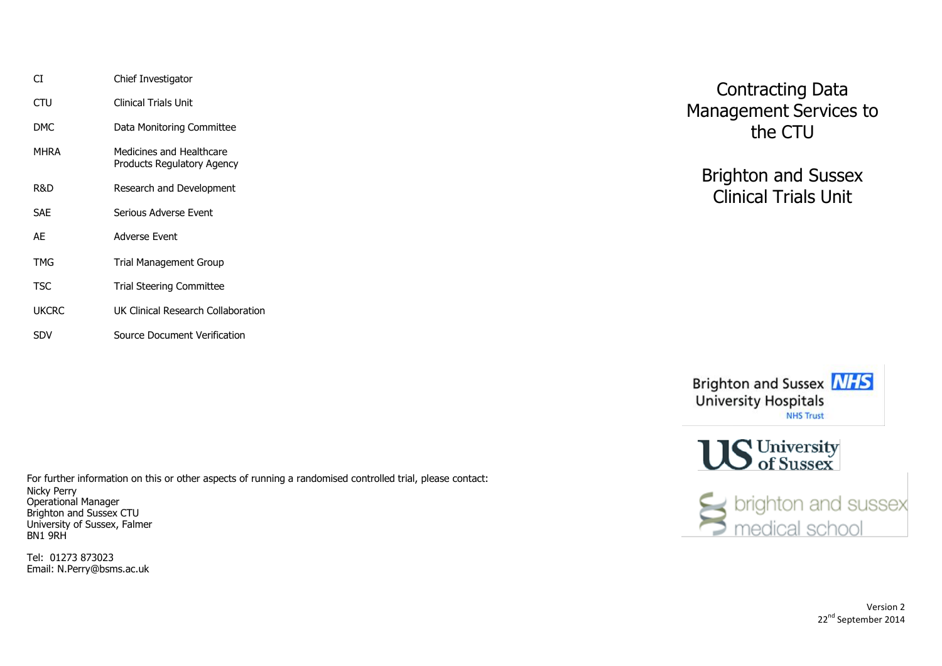| СT           | Chief Investigator                                     |
|--------------|--------------------------------------------------------|
| CTU          | <b>Clinical Trials Unit</b>                            |
| DMC.         | Data Monitoring Committee                              |
| <b>MHRA</b>  | Medicines and Healthcare<br>Products Regulatory Agency |
| R&D          | Research and Development                               |
| SAE          | Serious Adverse Event                                  |
| AF           | Adverse Fvent                                          |
| TMG          | <b>Trial Management Group</b>                          |
| <b>TSC</b>   | <b>Trial Steering Committee</b>                        |
| <b>UKCRC</b> | UK Clinical Research Collaboration                     |
| SDV          | Source Document Verification                           |

For further information on this or other aspects of running a randomised controlled trial, please contact: Nicky Perry Operational Manager Brighton and Sussex CTU University of Sussex, Falmer BN1 9RH

Tel: 01273 873023 Email: N.Perry@bsms.ac.uk

Contracting Data Management Services to the CTU

Brighton and Sussex Clinical Trials Unit



**US** University

sextlement of the brighton and sussext

Version 2 22<sup>nd</sup> September 2014